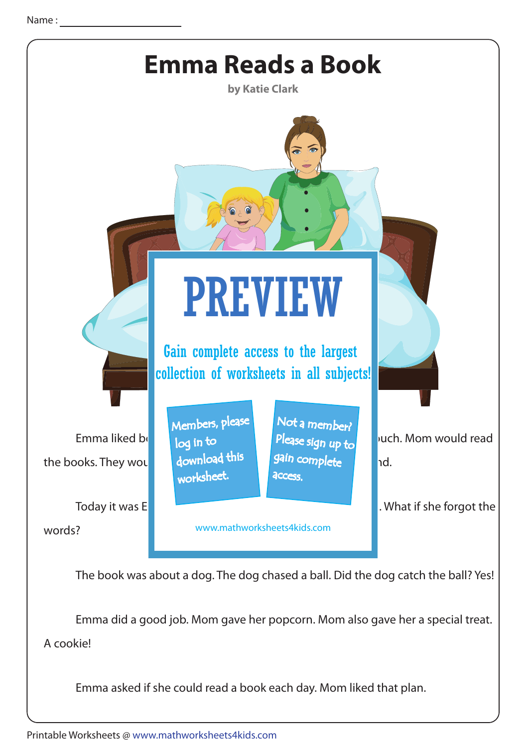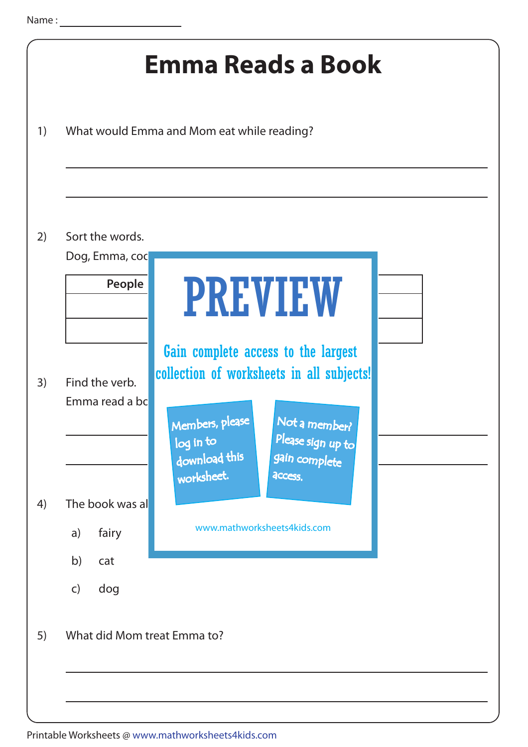|                                   | What would Emma and Mom eat while reading?                                                                                                                                               |
|-----------------------------------|------------------------------------------------------------------------------------------------------------------------------------------------------------------------------------------|
|                                   |                                                                                                                                                                                          |
| Sort the words.<br>Dog, Emma, coc |                                                                                                                                                                                          |
| People                            | <b>PREVIEW</b>                                                                                                                                                                           |
| Find the verb.<br>Emma read a bc  | Gain complete access to the largest<br>collection of worksheets in all subjects!<br>Members, please<br>Not a member?<br>Please sign up to<br>log in to<br>download this<br>gain complete |
| The book was al<br>fairy<br>a)    | worksheet.<br>access.<br>www.mathworksheets4kids.com                                                                                                                                     |
| b)<br>cat<br>dog<br>$\mathsf{C}$  |                                                                                                                                                                                          |
| What did Mom treat Emma to?       |                                                                                                                                                                                          |